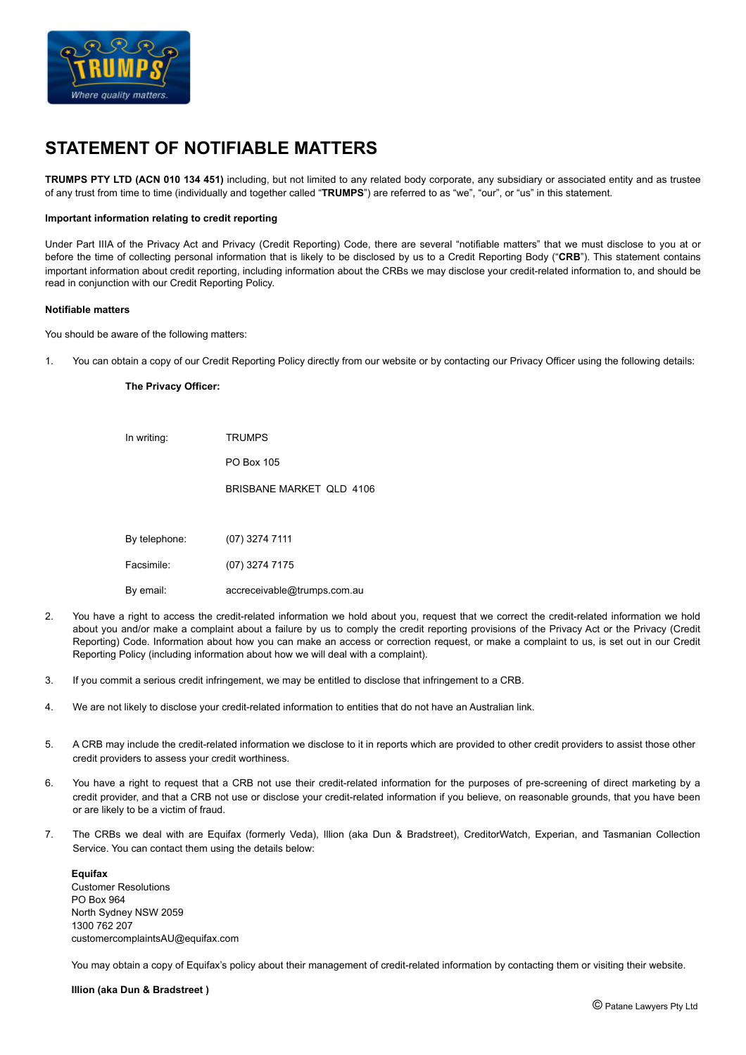

# **STATEMENT OF NOTIFIABLE MATTERS**

**TRUMPS PTY LTD (ACN 010 134 451)** including, but not limited to any related body corporate, any subsidiary or associated entity and as trustee of any trust from time to time (individually and together called "**TRUMPS**") are referred to as "we", "our", or "us" in this statement.

### **Important information relating to credit reporting**

Under Part IIIA of the Privacy Act and Privacy (Credit Reporting) Code, there are several "notifiable matters" that we must disclose to you at or before the time of collecting personal information that is likely to be disclosed by us to a Credit Reporting Body ("**CRB**"). This statement contains important information about credit reporting, including information about the CRBs we may disclose your credit-related information to, and should be read in conjunction with our Credit Reporting Policy.

#### **Notifiable matters**

You should be aware of the following matters:

1. You can obtain a copy of our Credit Reporting Policy directly from our website or by contacting our Privacy Officer using the following details:

### **The Privacy Officer:**

| In writing:   | <b>TRUMPS</b>            |
|---------------|--------------------------|
|               | PO Box 105               |
|               | BRISBANE MARKET OLD 4106 |
|               |                          |
| By telephone: | (07) 3274 7111           |
| Facsimile:    | (07) 3274 7175           |

- By email: accreceivable@trumps.com.au
- 2. You have a right to access the credit-related information we hold about you, request that we correct the credit-related information we hold about you and/or make a complaint about a failure by us to comply the credit reporting provisions of the Privacy Act or the Privacy (Credit Reporting) Code. Information about how you can make an access or correction request, or make a complaint to us, is set out in our Credit Reporting Policy (including information about how we will deal with a complaint).
- 3. If you commit a serious credit infringement, we may be entitled to disclose that infringement to a CRB.
- 4. We are not likely to disclose your credit-related information to entities that do not have an Australian link.
- 5. A CRB may include the credit-related information we disclose to it in reports which are provided to other credit providers to assist those other credit providers to assess your credit worthiness.
- 6. You have a right to request that a CRB not use their credit-related information for the purposes of pre-screening of direct marketing by a credit provider, and that a CRB not use or disclose your credit-related information if you believe, on reasonable grounds, that you have been or are likely to be a victim of fraud.
- 7. The CRBs we deal with are Equifax (formerly Veda), Illion (aka Dun & Bradstreet), CreditorWatch, Experian, and Tasmanian Collection Service. You can contact them using the details below:

**Equifax**  Customer Resolutions PO Box 964 North Sydney NSW 2059 1300 762 207 customercomplaintsAU@equifax.com

You may obtain a copy of Equifax's policy about their management of credit-related information by contacting them or visiting their website.

**Illion (aka Dun & Bradstreet )**